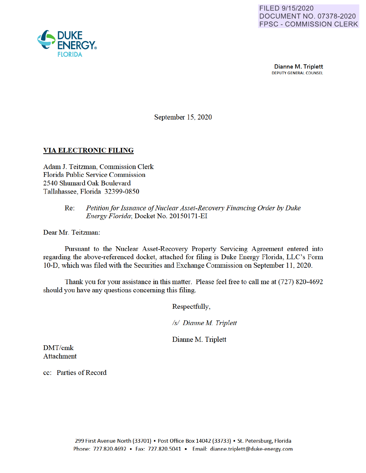

Dianne M. Triplett **DEPUTY GENERAL COUNSEL** 

September 15, 2020

## **VIA ELECTRONIC FILING**

Adam J. Teitzman, Commission Clerk Florida Public Service Commission 2540 Shumard Oak Boulevard Tallahassee, Florida 32399-0850

#### Petition for Issuance of Nuclear Asset-Recovery Financing Order by Duke  $Re:$ Energy Florida; Docket No. 20150171-EI

Dear Mr. Teitzman:

Pursuant to the Nuclear Asset-Recovery Property Servicing Agreement entered into regarding the above-referenced docket, attached for filing is Duke Energy Florida, LLC's Form 10-D, which was filed with the Securities and Exchange Commission on September 11, 2020.

Thank you for your assistance in this matter. Please feel free to call me at (727) 820-4692 should you have any questions concerning this filing.

Respectfully,

/s/ Dianne M. Triplett

Dianne M. Triplett

DMT/cmk **Attachment** 

cc: Parties of Record

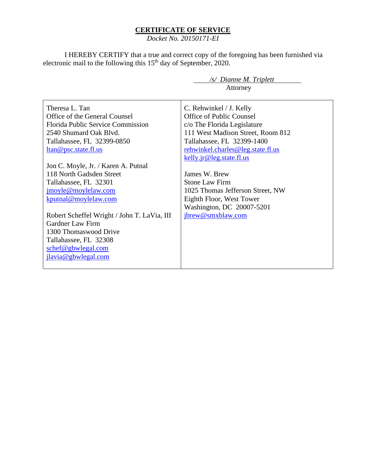## **CERTIFICATE OF SERVICE**

*Docket No. 20150171-EI*

I HEREBY CERTIFY that a true and correct copy of the foregoing has been furnished via electronic mail to the following this  $15<sup>th</sup>$  day of September, 2020.

> */s/ Dianne M. Triplett* Attorney

Theresa L. Tan Office of the General Counsel Florida Public Service Commission 2540 Shumard Oak Blvd. Tallahassee, FL 32399-0850 ltan@psc.state.fl.us Jon C. Moyle, Jr. / Karen A. Putnal 118 North Gadsden Street Tallahassee, FL 32301 jmoyle@moylelaw.com kputnal@moylelaw.com Robert Scheffel Wright / John T. LaVia, III Gardner Law Firm 1300 Thomaswood Drive Tallahassee, FL 32308 schef@gbwlegal.com jlavia@gbwlegal.com C. Rehwinkel / J. Kelly Office of Public Counsel c/o The Florida Legislature 111 West Madison Street, Room 812 Tallahassee, FL 32399-1400 rehwinkel.charles@leg.state.fl.us kelly.jr@leg.state.fl.us James W. Brew Stone Law Firm 1025 Thomas Jefferson Street, NW Eighth Floor, West Tower Washington, DC 20007-5201 jbrew@smxblaw.com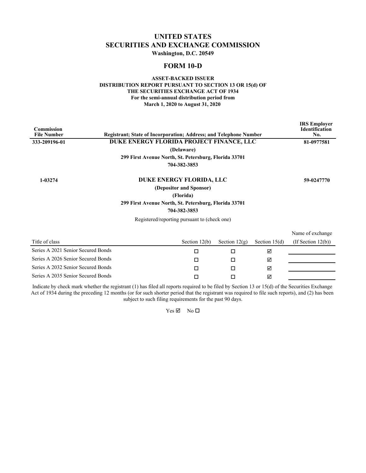## **UNITED STATES SECURITIES AND EXCHANGE COMMISSION**

**Washington, D.C. 20549**

### **FORM 10-D**

#### **ASSET-BACKED ISSUER DISTRIBUTION REPORT PURSUANT TO SECTION 13 OR 15(d) OF THE SECURITIES EXCHANGE ACT OF 1934 For the semi-annual distribution period from March 1, 2020 to August 31, 2020**

| <b>Commission</b><br><b>File Number</b> | <b>Registrant: State of Incorporation: Address: and Telephone Number</b> |                         |                 |                 | <b>IRS</b> Employer<br><b>Identification</b><br>No. |
|-----------------------------------------|--------------------------------------------------------------------------|-------------------------|-----------------|-----------------|-----------------------------------------------------|
| 333-209196-01                           | DUKE ENERGY FLORIDA PROJECT FINANCE, LLC                                 |                         |                 |                 | 81-0977581                                          |
|                                         |                                                                          | (Delaware)              |                 |                 |                                                     |
|                                         | 299 First Avenue North, St. Petersburg, Florida 33701                    |                         |                 |                 |                                                     |
|                                         |                                                                          | 704-382-3853            |                 |                 |                                                     |
| 1-03274                                 | DUKE ENERGY FLORIDA, LLC                                                 |                         |                 |                 | 59-0247770                                          |
|                                         |                                                                          | (Depositor and Sponsor) |                 |                 |                                                     |
|                                         |                                                                          | (Florida)               |                 |                 |                                                     |
|                                         | 299 First Avenue North, St. Petersburg, Florida 33701                    |                         |                 |                 |                                                     |
|                                         |                                                                          | 704-382-3853            |                 |                 |                                                     |
|                                         | Registered/reporting pursuant to (check one)                             |                         |                 |                 |                                                     |
|                                         |                                                                          |                         |                 |                 | Name of exchange                                    |
| Title of class                          |                                                                          | Section $12(b)$         | Section $12(g)$ | Section $15(d)$ | (If Section $12(b)$ )                               |
| Series A 2021 Senior Secured Bonds      |                                                                          | □                       | □               | ☑               |                                                     |
| Series A 2026 Senior Secured Bonds      |                                                                          | □                       | □               | ☑               |                                                     |
| Series A 2032 Senior Secured Bonds      |                                                                          | П                       | □               | ☑               |                                                     |
| Series A 2035 Senior Secured Bonds      |                                                                          | П                       | □               | ☑               |                                                     |
|                                         |                                                                          |                         |                 |                 |                                                     |

Indicate by check mark whether the registrant (1) has filed all reports required to be filed by Section 13 or 15(d) of the Securities Exchange Act of 1934 during the preceding 12 months (or for such shorter period that the registrant was required to file such reports), and (2) has been subject to such filing requirements for the past 90 days.

 $Yes \n\mathbb{Z}$  No  $\square$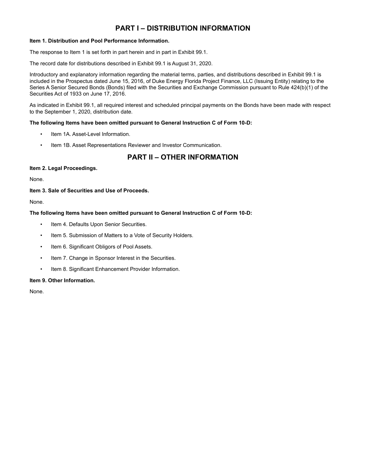## **PART I – DISTRIBUTION INFORMATION**

### **Item 1. Distribution and Pool Performance Information.**

The response to Item 1 is set forth in part herein and in part in Exhibit 99.1.

The record date for distributions described in Exhibit 99.1 is August 31, 2020.

Introductory and explanatory information regarding the material terms, parties, and distributions described in Exhibit 99.1 is included in the Prospectus dated June 15, 2016, of Duke Energy Florida Project Finance, LLC (Issuing Entity) relating to the Series A Senior Secured Bonds (Bonds) filed with the Securities and Exchange Commission pursuant to Rule 424(b)(1) of the Securities Act of 1933 on June 17, 2016.

As indicated in Exhibit 99.1, all required interest and scheduled principal payments on the Bonds have been made with respect to the September 1, 2020, distribution date.

#### **The following Items have been omitted pursuant to General Instruction C of Form 10-D:**

- Item 1A. Asset-Level Information.
- Item 1B. Asset Representations Reviewer and Investor Communication.

# **PART II – OTHER INFORMATION**

#### **Item 2. Legal Proceedings.**

None.

#### **Item 3. Sale of Securities and Use of Proceeds.**

None.

### **The following Items have been omitted pursuant to General Instruction C of Form 10-D:**

- Item 4. Defaults Upon Senior Securities.
- Item 5. Submission of Matters to a Vote of Security Holders.
- Item 6. Significant Obligors of Pool Assets.
- Item 7. Change in Sponsor Interest in the Securities.
- Item 8. Significant Enhancement Provider Information.

#### **Item 9. Other Information.**

None.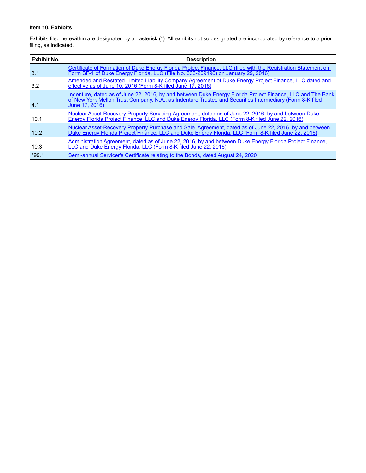### **Item 10. Exhibits**

Exhibits filed herewithin are designated by an asterisk (\*). All exhibits not so designated are incorporated by reference to a prior filing, as indicated.

| Exhibit No. | <b>Description</b>                                                                                                                                                                                                                       |
|-------------|------------------------------------------------------------------------------------------------------------------------------------------------------------------------------------------------------------------------------------------|
| 3.1         | Certificate of Formation of Duke Energy Florida Project Finance, LLC (filed with the Registration Statement on<br>Form SF-1 of Duke Energy Florida, LLC (File No. 333-209196) on January 29, 2016)                                       |
| 3.2         | Amended and Restated Limited Liability Company Agreement of Duke Energy Project Finance, LLC dated and<br>effective as of June 10, 2016 (Form 8-K filed June 17, 2016)                                                                   |
| 4.1         | Indenture, dated as of June 22, 2016, by and between Duke Energy Florida Project Finance, LLC and The Bank<br>of New York Mellon Trust Company, N.A., as Indenture Trustee and Securities Intermediary (Form 8-K filed<br>June 17, 2016) |
| 10.1        | Nuclear Asset-Recovery Property Servicing Agreement, dated as of June 22, 2016, by and between Duke<br>Energy Florida Project Finance, LLC and Duke Energy Florida, LLC (Form 8-K filed June 22, 2016)                                   |
| 10.2        | Nuclear Asset-Recovery Property Purchase and Sale Agreement, dated as of June 22, 2016, by and between<br>Duke Energy Florida Project Finance, LLC and Duke Energy Florida, LLC (Form 8-K filed June 22, 2016)                           |
| 10.3        | Administration Agreement, dated as of June 22, 2016, by and between Duke Energy Florida Project Finance,<br>LLC and Duke Energy Florida, LLC (Form 8-K filed June 22, 2016)                                                              |
| $*99.1$     | Semi-annual Servicer's Certificate relating to the Bonds, dated August 24, 2020                                                                                                                                                          |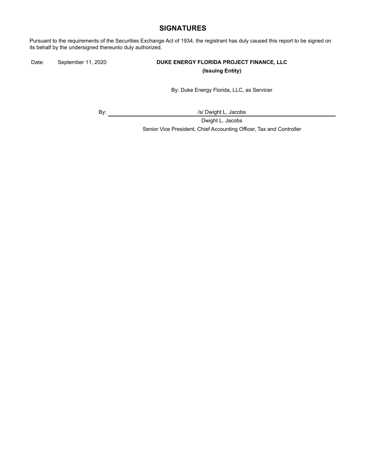## **SIGNATURES**

Pursuant to the requirements of the Securities Exchange Act of 1934, the registrant has duly caused this report to be signed on its behalf by the undersigned thereunto duly authorized.

### Date: September 11, 2020 **DUKE ENERGY FLORIDA PROJECT FINANCE, LLC (Issuing Entity)**

By: Duke Energy Florida, LLC, as Servicer

By:  $\qquad \qquad \qquad$  /s/ Dwight L. Jacobs

Dwight L. Jacobs Senior Vice President, Chief Accounting Officer, Tax and Controller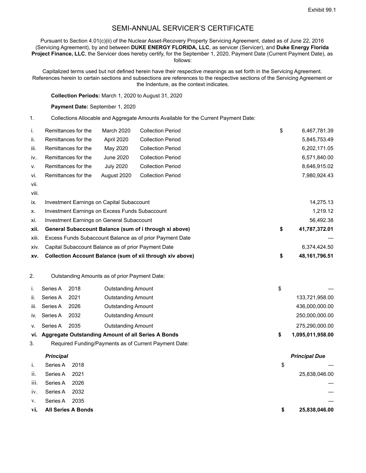## SEMI-ANNUAL SERVICER'S CERTIFICATE

Pursuant to Section 4.01(c)(ii) of the Nuclear Asset-Recovery Property Servicing Agreement, dated as of June 22, 2016 (Servicing Agreement), by and between **DUKE ENERGY FLORIDA, LLC**, as servicer (Servicer), and **Duke Energy Florida Project Finance, LLC**, the Servicer does hereby certify, for the September 1, 2020, Payment Date (Current Payment Date), as follows:

Capitalized terms used but not defined herein have their respective meanings as set forth in the Servicing Agreement. References herein to certain sections and subsections are references to the respective sections of the Servicing Agreement or the Indenture, as the context indicates.

**Collection Periods:** March 1, 2020 to August 31, 2020

#### **Payment Date:** September 1, 2020

1. Collections Allocable and Aggregate Amounts Available for the Current Payment Date:

| i.    | Remittances for the                                 | <b>March 2020</b>  | <b>Collection Period</b>                                  | \$<br>6,467,781.39    |
|-------|-----------------------------------------------------|--------------------|-----------------------------------------------------------|-----------------------|
| ii.   | Remittances for the                                 | April 2020         | <b>Collection Period</b>                                  | 5,845,753.49          |
| iii.  | Remittances for the                                 | May 2020           | <b>Collection Period</b>                                  | 6,202,171.05          |
| iv    | Remittances for the                                 | June 2020          | <b>Collection Period</b>                                  | 6,571,840.00          |
| v.    | Remittances for the                                 | <b>July 2020</b>   | <b>Collection Period</b>                                  | 8,646,915.02          |
| vi.   | Remittances for the                                 | August 2020        | <b>Collection Period</b>                                  | 7,980,924.43          |
| vii.  |                                                     |                    |                                                           |                       |
| viii. |                                                     |                    |                                                           |                       |
| ix.   | Investment Earnings on Capital Subaccount           |                    |                                                           | 14,275.13             |
| х.    | Investment Earnings on Excess Funds Subaccount      |                    |                                                           | 1,219.12              |
| xi.   | <b>Investment Earnings on General Subaccount</b>    |                    |                                                           | 56,492.38             |
| xii.  |                                                     |                    | General Subaccount Balance (sum of i through xi above)    | \$<br>41,787,372.01   |
| xiii. |                                                     |                    | Excess Funds Subaccount Balance as of prior Payment Date  |                       |
| XIV.  | Capital Subaccount Balance as of prior Payment Date |                    |                                                           | 6,374,424.50          |
| XV.   |                                                     |                    | Collection Account Balance (sum of xii through xiv above) | \$<br>48, 161, 796.51 |
| 2.    | Outstanding Amounts as of prior Payment Date:       |                    |                                                           |                       |
|       | 2018<br>Series A                                    | Outstanding Amount |                                                           | \$                    |

|     |               |      | vi. Aggregate Outstanding Amount of all Series A Bonds | 1,095,011,958.00 |
|-----|---------------|------|--------------------------------------------------------|------------------|
| V.  | Series A      | 2035 | <b>Outstanding Amount</b>                              | 275,290,000.00   |
|     | iv. Series A  | 2032 | <b>Outstanding Amount</b>                              | 250,000,000.00   |
|     | iii. Series A | 2026 | Outstanding Amount                                     | 436,000,000.00   |
| ii. | Series A      | 2021 | Outstanding Amount                                     | 133,721,958.00   |
|     |               |      |                                                        |                  |

3. Required Funding/Payments as of Current Payment Date:

#### *Principal Principal Due*

| i.          | Series A 2018          |      | \$ |               |
|-------------|------------------------|------|----|---------------|
| ii.         | Series A 2021          |      |    | 25,838,046.00 |
| iii.        | Series A               | 2026 |    |               |
|             | iv. Series A           | 2032 |    |               |
| $V_{\star}$ | Series A               | 2035 |    |               |
|             | vi. All Series A Bonds |      | S  | 25,838,046.00 |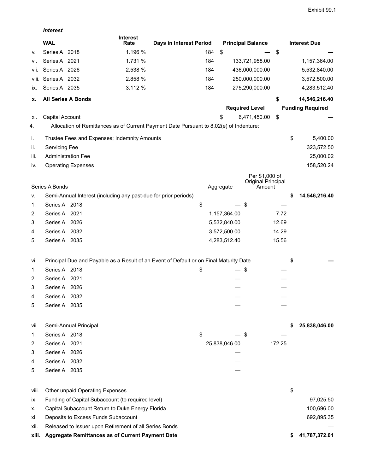|       | <b>Interest</b>      |                                                                 |                         |                                                                                        |     |               |                                      |        |                         |
|-------|----------------------|-----------------------------------------------------------------|-------------------------|----------------------------------------------------------------------------------------|-----|---------------|--------------------------------------|--------|-------------------------|
|       | <b>WAL</b>           |                                                                 | <b>Interest</b><br>Rate | Days in Interest Period                                                                |     |               | <b>Principal Balance</b>             |        | <b>Interest Due</b>     |
| v.    | Series A 2018        |                                                                 | 1.196 %                 |                                                                                        | 184 | \$            |                                      | \$     |                         |
| vi.   | Series A 2021        |                                                                 | 1.731 %                 |                                                                                        | 184 |               | 133,721,958.00                       |        | 1,157,364.00            |
| Vii.  | Series A 2026        |                                                                 | 2.538 %                 |                                                                                        | 184 |               | 436,000,000.00                       |        | 5,532,840.00            |
| VIII. | Series A 2032        |                                                                 | 2.858 %                 |                                                                                        | 184 |               | 250,000,000.00                       |        | 3,572,500.00            |
| IX.   | Series A 2035        |                                                                 | 3.112 %                 |                                                                                        | 184 |               | 275,290,000.00                       |        | 4,283,512.40            |
| х.    |                      | <b>All Series A Bonds</b>                                       |                         |                                                                                        |     |               |                                      | \$     | 14,546,216.40           |
|       |                      |                                                                 |                         |                                                                                        |     |               | <b>Required Level</b>                |        | <b>Funding Required</b> |
| XI.   | Capital Account      |                                                                 |                         |                                                                                        |     | \$            | 6,471,450.00                         | \$     |                         |
| 4.    |                      |                                                                 |                         | Allocation of Remittances as of Current Payment Date Pursuant to 8.02(e) of Indenture: |     |               |                                      |        |                         |
| i.    |                      | Trustee Fees and Expenses; Indemnity Amounts                    |                         |                                                                                        |     |               |                                      |        | \$<br>5,400.00          |
| ii.   | <b>Servicing Fee</b> |                                                                 |                         |                                                                                        |     |               |                                      |        | 323,572.50              |
| iii.  |                      | <b>Administration Fee</b>                                       |                         |                                                                                        |     |               |                                      |        | 25,000.02               |
| iv.   |                      | <b>Operating Expenses</b>                                       |                         |                                                                                        |     |               |                                      |        | 158,520.24              |
|       |                      |                                                                 |                         |                                                                                        |     |               | Per \$1,000 of<br>Original Principal |        |                         |
|       | Series A Bonds       |                                                                 |                         |                                                                                        |     | Aggregate     | Amount                               |        |                         |
| V.    |                      | Semi-Annual Interest (including any past-due for prior periods) |                         |                                                                                        |     |               |                                      |        | \$<br>14,546,216.40     |
| 1.    | Series A 2018        |                                                                 |                         | \$                                                                                     |     |               | \$                                   |        |                         |
| 2.    | Series A 2021        |                                                                 |                         |                                                                                        |     | 1,157,364.00  |                                      | 7.72   |                         |
| 3.    | Series A 2026        |                                                                 |                         |                                                                                        |     | 5,532,840.00  |                                      | 12.69  |                         |
| 4.    | Series A 2032        |                                                                 |                         |                                                                                        |     | 3,572,500.00  |                                      | 14.29  |                         |
| 5.    | Series A 2035        |                                                                 |                         |                                                                                        |     | 4,283,512.40  |                                      | 15.56  |                         |
| vi.   |                      |                                                                 |                         | Principal Due and Payable as a Result of an Event of Default or on Final Maturity Date |     |               |                                      |        | \$                      |
| 1.    | Series A 2018        |                                                                 |                         | \$                                                                                     |     |               | \$                                   |        |                         |
| 2.    | Series A 2021        |                                                                 |                         |                                                                                        |     |               |                                      |        |                         |
| 3.    | Series A 2026        |                                                                 |                         |                                                                                        |     |               |                                      |        |                         |
| 4.    | Series A 2032        |                                                                 |                         |                                                                                        |     |               |                                      |        |                         |
| 5.    | Series A 2035        |                                                                 |                         |                                                                                        |     |               |                                      |        |                         |
| vii.  |                      | Semi-Annual Principal                                           |                         |                                                                                        |     |               |                                      |        | 25,838,046.00           |
| 1.    | Series A 2018        |                                                                 |                         | \$                                                                                     |     |               | \$                                   |        |                         |
| 2.    | Series A 2021        |                                                                 |                         |                                                                                        |     | 25,838,046.00 |                                      | 172.25 |                         |
| 3.    | Series A 2026        |                                                                 |                         |                                                                                        |     |               |                                      |        |                         |
| 4.    | Series A 2032        |                                                                 |                         |                                                                                        |     |               |                                      |        |                         |
| 5.    | Series A 2035        |                                                                 |                         |                                                                                        |     |               |                                      |        |                         |
| viii. |                      | Other unpaid Operating Expenses                                 |                         |                                                                                        |     |               |                                      |        | \$                      |
| IX.   |                      | Funding of Capital Subaccount (to required level)               |                         |                                                                                        |     |               |                                      |        | 97,025.50               |
| х.    |                      | Capital Subaccount Return to Duke Energy Florida                |                         |                                                                                        |     |               |                                      |        | 100,696.00              |
| Xİ.   |                      | Deposits to Excess Funds Subaccount                             |                         |                                                                                        |     |               |                                      |        | 692,895.35              |
| XII.  |                      | Released to Issuer upon Retirement of all Series Bonds          |                         |                                                                                        |     |               |                                      |        |                         |
|       |                      |                                                                 |                         |                                                                                        |     |               |                                      |        |                         |

**xiii. Aggregate Remittances as of Current Payment Date \$ 41,787,372.01**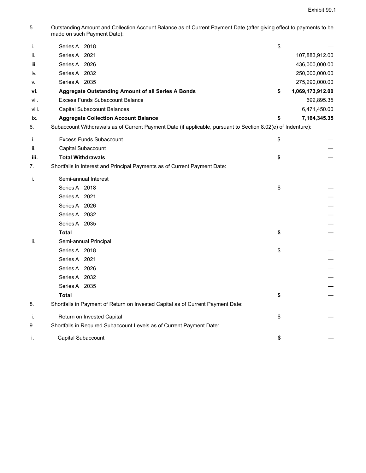5. Outstanding Amount and Collection Account Balance as of Current Payment Date (after giving effect to payments to be made on such Payment Date):

| i.    | Series A 2018                                                                                                | \$                     |
|-------|--------------------------------------------------------------------------------------------------------------|------------------------|
| ii.   | Series A 2021                                                                                                | 107,883,912.00         |
| iii.  | Series A 2026                                                                                                | 436,000,000.00         |
| IV.   | Series A 2032                                                                                                | 250,000,000.00         |
| v.    | Series A 2035                                                                                                | 275,290,000.00         |
| vi.   | <b>Aggregate Outstanding Amount of all Series A Bonds</b>                                                    | \$<br>1,069,173,912.00 |
| vii.  | <b>Excess Funds Subaccount Balance</b>                                                                       | 692,895.35             |
| viii. | Capital Subaccount Balances                                                                                  | 6,471,450.00           |
| ix.   | <b>Aggregate Collection Account Balance</b>                                                                  | \$<br>7, 164, 345. 35  |
| 6.    | Subaccount Withdrawals as of Current Payment Date (if applicable, pursuant to Section 8.02(e) of Indenture): |                        |
| i.    | <b>Excess Funds Subaccount</b>                                                                               | \$                     |
| ii.   | Capital Subaccount                                                                                           |                        |
| iii.  | <b>Total Withdrawals</b>                                                                                     | \$                     |
| 7.    | Shortfalls in Interest and Principal Payments as of Current Payment Date:                                    |                        |
| j.    | Semi-annual Interest                                                                                         |                        |
|       | Series A 2018                                                                                                | \$                     |
|       | Series A 2021                                                                                                |                        |
|       | Series A 2026                                                                                                |                        |
|       | Series A 2032                                                                                                |                        |
|       | Series A 2035                                                                                                |                        |
|       | <b>Total</b>                                                                                                 | \$                     |
| ii.   | Semi-annual Principal                                                                                        |                        |
|       | Series A 2018                                                                                                | \$                     |
|       | Series A 2021                                                                                                |                        |
|       | Series A 2026                                                                                                |                        |
|       | Series A 2032                                                                                                |                        |
|       | Series A 2035                                                                                                |                        |
|       | <b>Total</b>                                                                                                 | \$                     |
| 8.    | Shortfalls in Payment of Return on Invested Capital as of Current Payment Date:                              |                        |
| j.    | Return on Invested Capital                                                                                   | \$                     |
| 9.    | Shortfalls in Required Subaccount Levels as of Current Payment Date:                                         |                        |
| i.    | Capital Subaccount                                                                                           | \$                     |